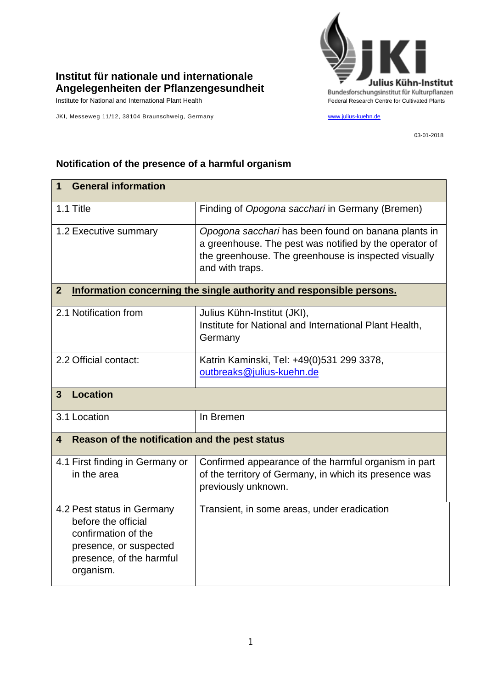

## **Institut für nationale und internationale Angelegenheiten der Pflanzengesundheit**

JKI, Messeweg 11/12, 38104 Braunschweig, Germany [www.julius-kuehn.de](http://www.julius-kuehn.de/)

03-01-2018

## **Notification of the presence of a harmful organism**

| <b>General information</b><br>1                                                                                                             |                                                                                                                                                                                          |  |
|---------------------------------------------------------------------------------------------------------------------------------------------|------------------------------------------------------------------------------------------------------------------------------------------------------------------------------------------|--|
| 1.1 Title                                                                                                                                   | Finding of Opogona sacchari in Germany (Bremen)                                                                                                                                          |  |
| 1.2 Executive summary                                                                                                                       | Opogona sacchari has been found on banana plants in<br>a greenhouse. The pest was notified by the operator of<br>the greenhouse. The greenhouse is inspected visually<br>and with traps. |  |
| Information concerning the single authority and responsible persons.<br>$\overline{2}$                                                      |                                                                                                                                                                                          |  |
| 2.1 Notification from                                                                                                                       | Julius Kühn-Institut (JKI),<br>Institute for National and International Plant Health,<br>Germany                                                                                         |  |
| 2.2 Official contact:                                                                                                                       | Katrin Kaminski, Tel: +49(0)531 299 3378,<br>outbreaks@julius-kuehn.de                                                                                                                   |  |
| <b>Location</b><br>$\overline{3}$                                                                                                           |                                                                                                                                                                                          |  |
| 3.1 Location                                                                                                                                | In Bremen                                                                                                                                                                                |  |
| Reason of the notification and the pest status<br>4                                                                                         |                                                                                                                                                                                          |  |
| 4.1 First finding in Germany or<br>in the area                                                                                              | Confirmed appearance of the harmful organism in part<br>of the territory of Germany, in which its presence was<br>previously unknown.                                                    |  |
| 4.2 Pest status in Germany<br>before the official<br>confirmation of the<br>presence, or suspected<br>presence, of the harmful<br>organism. | Transient, in some areas, under eradication                                                                                                                                              |  |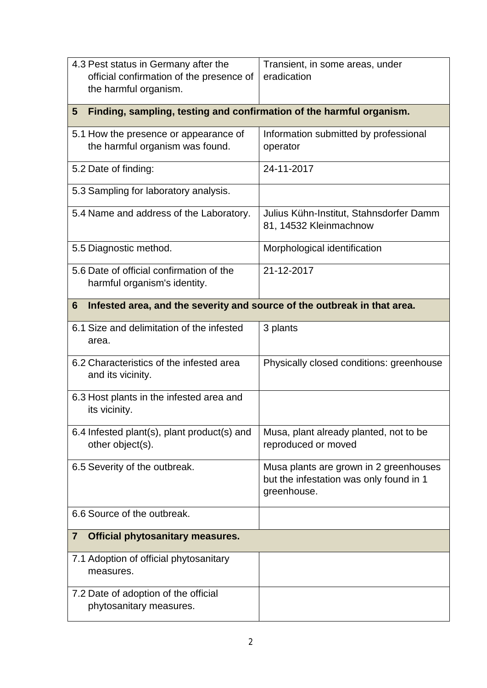| 4.3 Pest status in Germany after the<br>official confirmation of the presence of<br>the harmful organism. | Transient, in some areas, under<br>eradication                                                   |  |
|-----------------------------------------------------------------------------------------------------------|--------------------------------------------------------------------------------------------------|--|
| Finding, sampling, testing and confirmation of the harmful organism.<br>5                                 |                                                                                                  |  |
| 5.1 How the presence or appearance of<br>the harmful organism was found.                                  | Information submitted by professional<br>operator                                                |  |
| 5.2 Date of finding:                                                                                      | 24-11-2017                                                                                       |  |
| 5.3 Sampling for laboratory analysis.                                                                     |                                                                                                  |  |
| 5.4 Name and address of the Laboratory.                                                                   | Julius Kühn-Institut, Stahnsdorfer Damm<br>81, 14532 Kleinmachnow                                |  |
| 5.5 Diagnostic method.                                                                                    | Morphological identification                                                                     |  |
| 5.6 Date of official confirmation of the<br>harmful organism's identity.                                  | 21-12-2017                                                                                       |  |
| Infested area, and the severity and source of the outbreak in that area.<br>6                             |                                                                                                  |  |
| 6.1 Size and delimitation of the infested<br>area.                                                        | 3 plants                                                                                         |  |
| 6.2 Characteristics of the infested area<br>and its vicinity.                                             | Physically closed conditions: greenhouse                                                         |  |
| 6.3 Host plants in the infested area and<br>its vicinity.                                                 |                                                                                                  |  |
| 6.4 Infested plant(s), plant product(s) and<br>other object(s).                                           | Musa, plant already planted, not to be<br>reproduced or moved                                    |  |
| 6.5 Severity of the outbreak.                                                                             | Musa plants are grown in 2 greenhouses<br>but the infestation was only found in 1<br>greenhouse. |  |
| 6.6 Source of the outbreak.                                                                               |                                                                                                  |  |
| <b>Official phytosanitary measures.</b><br>$\overline{\mathbf{7}}$                                        |                                                                                                  |  |
| 7.1 Adoption of official phytosanitary<br>measures.                                                       |                                                                                                  |  |
| 7.2 Date of adoption of the official<br>phytosanitary measures.                                           |                                                                                                  |  |